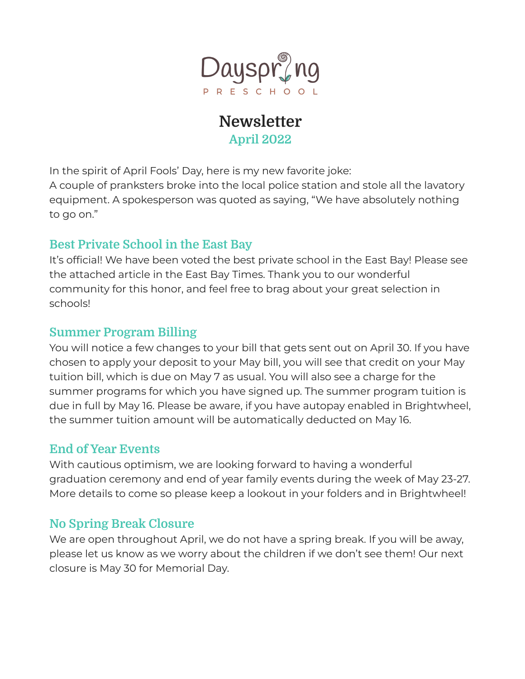

# **Newsletter April 2022**

In the spirit of April Fools' Day, here is my new favorite joke: A couple of pranksters broke into the local police station and stole all the lavatory equipment. A spokesperson was quoted as saying, "We have absolutely nothing to go on."

# **Best Private School in the East Bay**

It's official! We have been voted the best private school in the East Bay! Please see the attached article in the East Bay Times. Thank you to our wonderful community for this honor, and feel free to brag about your great selection in schools!

## **Summer Program Billing**

You will notice a few changes to your bill that gets sent out on April 30. If you have chosen to apply your deposit to your May bill, you will see that credit on your May tuition bill, which is due on May 7 as usual. You will also see a charge for the summer programs for which you have signed up. The summer program tuition is due in full by May 16. Please be aware, if you have autopay enabled in Brightwheel, the summer tuition amount will be automatically deducted on May 16.

# **End of Year Events**

With cautious optimism, we are looking forward to having a wonderful graduation ceremony and end of year family events during the week of May 23-27. More details to come so please keep a lookout in your folders and in Brightwheel!

# **No Spring Break Closure**

We are open throughout April, we do not have a spring break. If you will be away, please let us know as we worry about the children if we don't see them! Our next closure is May 30 for Memorial Day.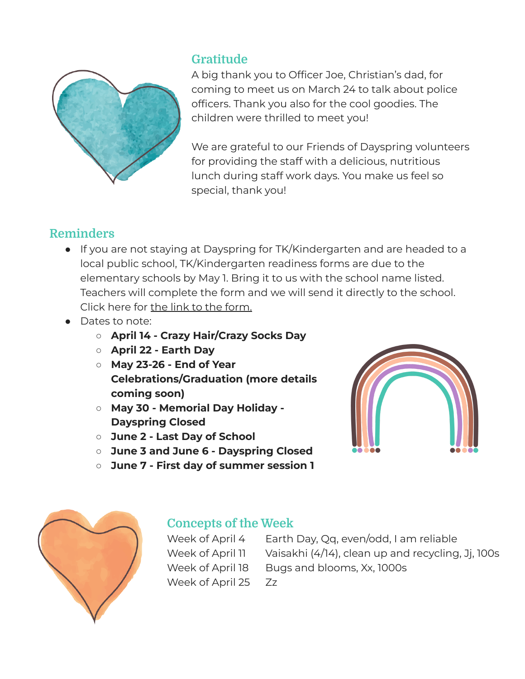

## **Gratitude**

A big thank you to Officer Joe, Christian's dad, for coming to meet us on March 24 to talk about police officers. Thank you also for the cool goodies. The children were thrilled to meet you!

We are grateful to our Friends of Dayspring volunteers for providing the staff with a delicious, nutritious lunch during staff work days. You make us feel so special, thank you!

# **Reminders**

- If you are not staying at Dayspring for TK/Kindergarten and are headed to a local public school, TK/Kindergarten readiness forms are due to the elementary schools by May 1. Bring it to us with the school name listed. Teachers will complete the form and we will send it directly to the school. Click here for the link to the [form.](https://srvusd-ca.schoolloop.com/file/1531973258600/1406780923221/4139992259785865042.pdf)
- Dates to note:
	- **○ April 14 - Crazy Hair/Crazy Socks Day**
	- **○ April 22 - Earth Day**
	- **○ May 23-26 - End of Year Celebrations/Graduation (more details coming soon)**
	- **○ May 30 - Memorial Day Holiday - Dayspring Closed**
	- **○ June 2 - Last Day of School**
	- **○ June 3 and June 6 - Dayspring Closed**
	- **○ June 7 - First day of summer session 1**





## **Concepts of the Week**

Week of April 25 Zz

Week of April 4 Earth Day, Qq, even/odd, I am reliable Week of April 11 Vaisakhi (4/14), clean up and recycling, Jj, 100s Week of April 18 Bugs and blooms, Xx, 1000s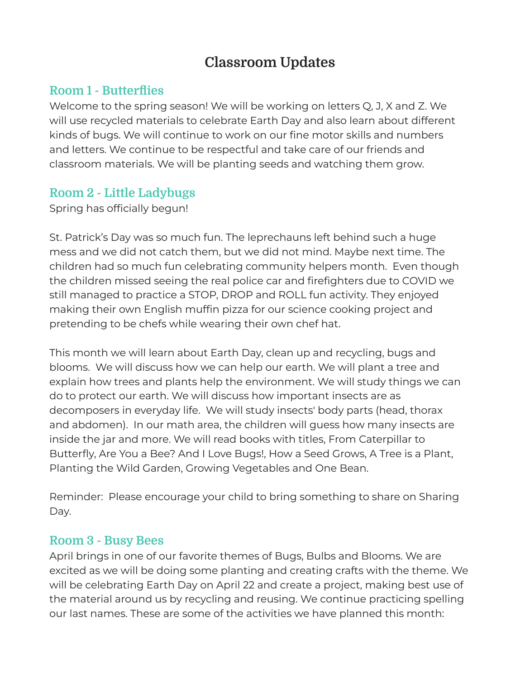# **Classroom Updates**

### **Room 1 - Butterflies**

Welcome to the spring season! We will be working on letters Q, J, X and Z. We will use recycled materials to celebrate Earth Day and also learn about different kinds of bugs. We will continue to work on our fine motor skills and numbers and letters. We continue to be respectful and take care of our friends and classroom materials. We will be planting seeds and watching them grow.

### **Room 2 - Little Ladybugs**

Spring has officially begun!

St. Patrick's Day was so much fun. The leprechauns left behind such a huge mess and we did not catch them, but we did not mind. Maybe next time. The children had so much fun celebrating community helpers month. Even though the children missed seeing the real police car and firefighters due to COVID we still managed to practice a STOP, DROP and ROLL fun activity. They enjoyed making their own English muffin pizza for our science cooking project and pretending to be chefs while wearing their own chef hat.

This month we will learn about Earth Day, clean up and recycling, bugs and blooms. We will discuss how we can help our earth. We will plant a tree and explain how trees and plants help the environment. We will study things we can do to protect our earth. We will discuss how important insects are as decomposers in everyday life. We will study insects' body parts (head, thorax and abdomen). In our math area, the children will guess how many insects are inside the jar and more. We will read books with titles, From Caterpillar to Butterfly, Are You a Bee? And I Love Bugs!, How a Seed Grows, A Tree is a Plant, Planting the Wild Garden, Growing Vegetables and One Bean.

Reminder: Please encourage your child to bring something to share on Sharing Day.

#### **Room 3 - Busy Bees**

April brings in one of our favorite themes of Bugs, Bulbs and Blooms. We are excited as we will be doing some planting and creating crafts with the theme. We will be celebrating Earth Day on April 22 and create a project, making best use of the material around us by recycling and reusing. We continue practicing spelling our last names. These are some of the activities we have planned this month: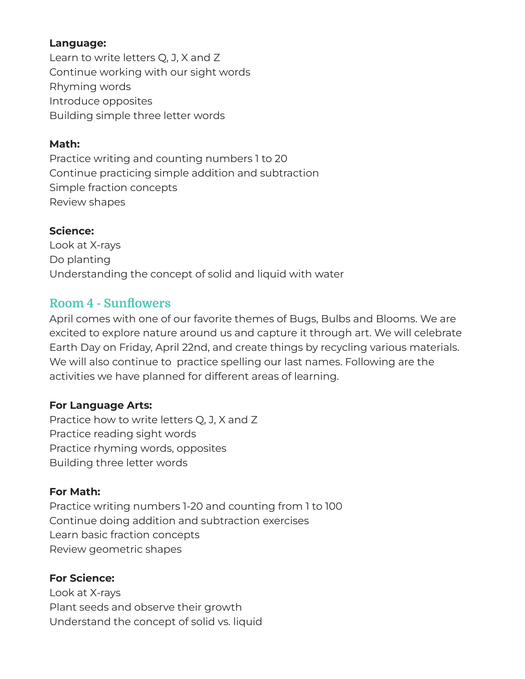#### **Language:**

Learn to write letters Q, J, X and Z Continue working with our sight words Rhyming words Introduce opposites Building simple three letter words

#### **Math:**

Practice writing and counting numbers 1 to 20 Continue practicing simple addition and subtraction Simple fraction concepts Review shapes

#### **Science:**

Look at X-rays Do planting Understanding the concept of solid and liquid with water

## **Room 4 - Sunflowers**

April comes with one of our favorite themes of Bugs, Bulbs and Blooms. We are excited to explore nature around us and capture it through art. We will celebrate Earth Day on Friday, April 22nd, and create things by recycling various materials. We will also continue to practice spelling our last names. Following are the activities we have planned for different areas of learning.

#### **For Language Arts:**

Practice how to write letters Q, J, X and Z Practice reading sight words Practice rhyming words, opposites Building three letter words

#### **For Math:**

Practice writing numbers 1-20 and counting from 1 to 100 Continue doing addition and subtraction exercises Learn basic fraction concepts Review geometric shapes

#### **For Science:**

Look at X-rays Plant seeds and observe their growth Understand the concept of solid vs. liquid